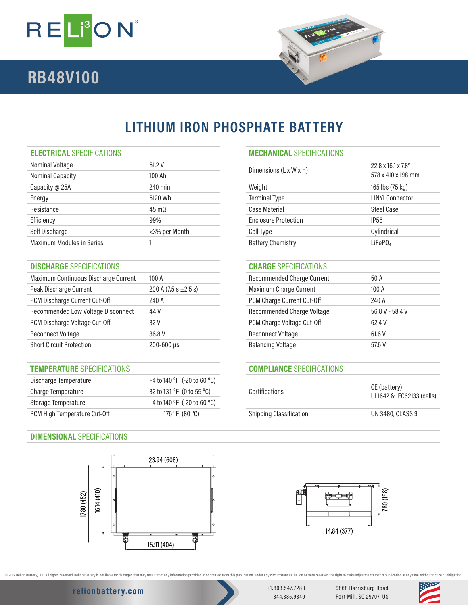

# **RB48V100**



# **LITHIUM IRON PHOSPHATE BATTERY**

| Nominal Voltage                  | 51.2V                | Dimensions $(L \times W \times H)$ | $22.8 \times 16.1 \times 7.8$ " |
|----------------------------------|----------------------|------------------------------------|---------------------------------|
| <b>Nominal Capacity</b>          | 100 Ah               |                                    | 578 x 410 x 198 mm              |
| Capacity @ 25A                   | 240 min              | Weight                             | 165 lbs (75 kg)                 |
| Energy                           | 5120 Wh              | <b>Terminal Type</b>               | <b>LINYI Connector</b>          |
| Resistance                       | $45 \text{ m}\Omega$ | Case Material                      | <b>Steel Case</b>               |
| Efficiency                       | 99%                  | <b>Enclosure Protection</b>        | IP <sub>56</sub>                |
| Self Discharge                   | <3% per Month        | Cell Type                          | Cylindrical                     |
| <b>Maximum Modules in Series</b> |                      | <b>Battery Chemistry</b>           | LiFePO <sub>4</sub>             |
|                                  |                      |                                    |                                 |

## **DISCHARGE** SPECIFICATIONS **CHARGE** SPECIFICATIONS

| Maximum Continuous Discharge Current | 100A                      | <b>Recommended Charge Current</b> | 50 A            |
|--------------------------------------|---------------------------|-----------------------------------|-----------------|
| Peak Discharge Current               | 200 A $(7.5 s \pm 2.5 s)$ | Maximum Charge Current            | 100A            |
| PCM Discharge Current Cut-Off        | 240 A                     | PCM Charge Current Cut-Off        | 240 A           |
| Recommended Low Voltage Disconnect   | 44 V                      | Recommended Charge Voltage        | 56.8 V - 58.4 V |
| PCM Discharge Voltage Cut-Off        | 32 V                      | PCM Charge Voltage Cut-Off        | 62.4 V          |
| <b>Reconnect Voltage</b>             | 36.8 V                    | <b>Reconnect Voltage</b>          | 61.6 V          |
| <b>Short Circuit Protection</b>      | 200-600 µs                | <b>Balancing Voltage</b>          | 57.6 V          |
|                                      |                           |                                   |                 |

### **TEMPERATURE** SPECIFICATIONS **COMPLIANCE** SPECIFICATIONS

| Discharge Temperature        | $-4$ to 140 °F (-20 to 60 °C)               | Certifications                 | CE (battery)<br>UL1642 & IEC62133 (cells) |
|------------------------------|---------------------------------------------|--------------------------------|-------------------------------------------|
| Charge Temperature           | 32 to 131 $\degree$ F (0 to 55 $\degree$ C) |                                |                                           |
| Storage Temperature          | $-4$ to 140 °F (-20 to 60 °C)               |                                |                                           |
| PCM High Temperature Cut-Off | 176 °F (80 °C)                              | <b>Shipping Classification</b> | UN 3480, CLASS 9                          |

## **DIMENSIONAL** SPECIFICATIONS



# **ELECTRICAL** SPECIFICATIONS **MECHANICAL** SPECIFICATIONS

| Dimensions (L x W x H)      | 22.8 x 16.1 x 7.8"<br>578 x 410 x 198 mm |
|-----------------------------|------------------------------------------|
| Weight                      | 165 lbs (75 kg)                          |
| <b>Terminal Type</b>        | <b>LINYI Connector</b>                   |
| Case Material               | Steel Case                               |
| <b>Enclosure Protection</b> | IP56                                     |
| Cell Type                   | Cylindrical                              |
| <b>Battery Chemistry</b>    | LiFeP0                                   |

| <b>Recommended Charge Current</b> | 50 A            |
|-----------------------------------|-----------------|
| Maximum Charge Current            | 100A            |
| PCM Charge Current Cut-Off        | 240 A           |
| Recommended Charge Voltage        | 56.8 V - 58.4 V |
| PCM Charge Voltage Cut-Off        | 62.4 V          |
| Reconnect Voltage                 | 61.6 V          |
| <b>Balancing Voltage</b>          | 57.6 V          |
|                                   |                 |

| <b>Certifications</b>          | CE (battery)<br>UL1642 & IEC62133 (cells) |
|--------------------------------|-------------------------------------------|
| <b>Shipping Classification</b> | <b>UN 3480, CLASS 9</b>                   |
|                                |                                           |



@ 2017 Relion Battery, LLC. All rights reserved. Relion Battery is not liable for damages that may result from any information provided in or omitted from this publication, under any otrcumstances. Relion Battery reserves

**relionbattery.com** +1.803.547.7288

844.385.9840

9868 Harrisburg Road Fort Mill, SC 29707, US